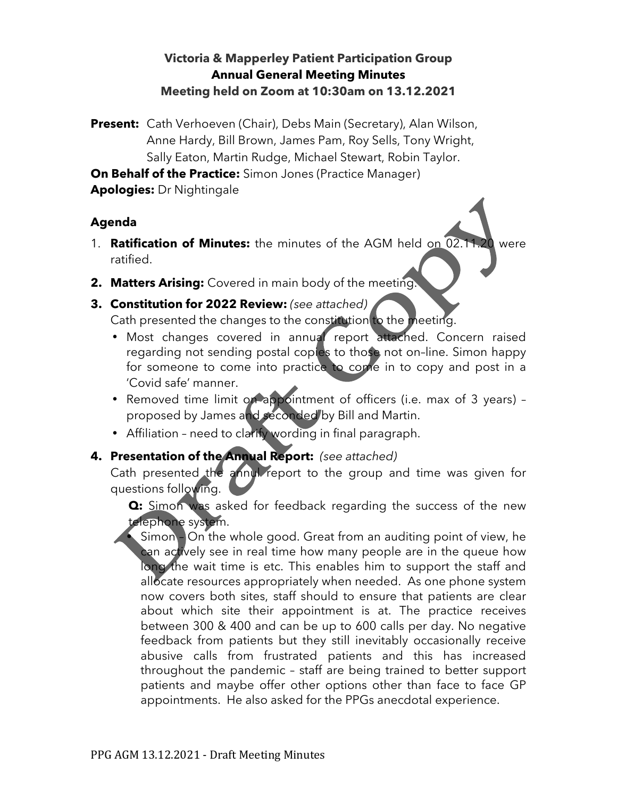### **Victoria & Mapperley Patient Participation Group Annual General Meeting Minutes Meeting held on Zoom at 10:30am on 13.12.2021**

**Present:** Cath Verhoeven (Chair), Debs Main (Secretary), Alan Wilson, Anne Hardy, Bill Brown, James Pam, Roy Sells, Tony Wright, Sally Eaton, Martin Rudge, Michael Stewart, Robin Taylor.

**On Behalf of the Practice:** Simon Jones (Practice Manager)

**Apologies:** Dr Nightingale

#### **Agenda**

- 1. **Ratification of Minutes:** the minutes of the AGM held on 02.11.20 were ratified.
- **2. Matters Arising:** Covered in main body of the meeting.
- **3. Constitution for 2022 Review:** *(see attached)* Cath presented the changes to the constitution to the meeting.
	- Most changes covered in annual report attached. Concern raised regarding not sending postal copies to those not on–line. Simon happy for someone to come into practice to come in to copy and post in a 'Covid safe' manner.
	- Removed time limit on appointment of officers (i.e. max of 3 years) proposed by James and seconded by Bill and Martin.
	- Affiliation need to clarify wording in final paragraph.

## **4. Presentation of the Annual Report:** *(see attached)*

Cath presented the annul report to the group and time was given for questions following.

**Q:** Simon was asked for feedback regarding the success of the new telephone system.

• Simon - On the whole good. Great from an auditing point of view, he can actively see in real time how many people are in the queue how long the wait time is etc. This enables him to support the staff and allocate resources appropriately when needed. As one phone system now covers both sites, staff should to ensure that patients are clear about which site their appointment is at. The practice receives between 300 & 400 and can be up to 600 calls per day. No negative feedback from patients but they still inevitably occasionally receive abusive calls from frustrated patients and this has increased throughout the pandemic – staff are being trained to better support patients and maybe offer other options other than face to face GP appointments. He also asked for the PPGs anecdotal experience.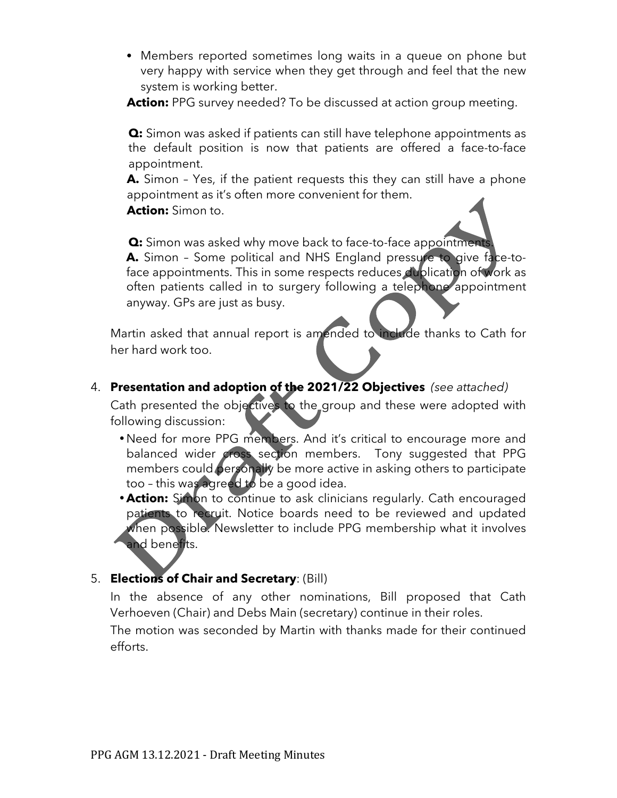• Members reported sometimes long waits in a queue on phone but very happy with service when they get through and feel that the new system is working better.

Action: PPG survey needed? To be discussed at action group meeting.

**Q:** Simon was asked if patients can still have telephone appointments as the default position is now that patients are offered a face-to-face appointment.

**A.** Simon – Yes, if the patient requests this they can still have a phone appointment as it's often more convenient for them.

**Action:** Simon to.

**Q:** Simon was asked why move back to face-to-face appointments **A.** Simon – Some political and NHS England pressure to give face-toface appointments. This in some respects reduces duplication of work as often patients called in to surgery following a telephone appointment anyway. GPs are just as busy.

Martin asked that annual report is amended to include thanks to Cath for her hard work too.

4. **Presentation and adoption of the 2021/22 Objectives** *(see attached)*

Cath presented the objectives to the group and these were adopted with following discussion:

- •Need for more PPG members. And it's critical to encourage more and balanced wider cross section members. Tony suggested that PPG members could personally be more active in asking others to participate too – this was agreed to be a good idea.
- **Action:** Simon to continue to ask clinicians regularly. Cath encouraged patients to recruit. Notice boards need to be reviewed and updated when possible. Newsletter to include PPG membership what it involves and benefits.

# 5. **Elections of Chair and Secretary**: (Bill)

In the absence of any other nominations, Bill proposed that Cath Verhoeven (Chair) and Debs Main (secretary) continue in their roles.

The motion was seconded by Martin with thanks made for their continued efforts.